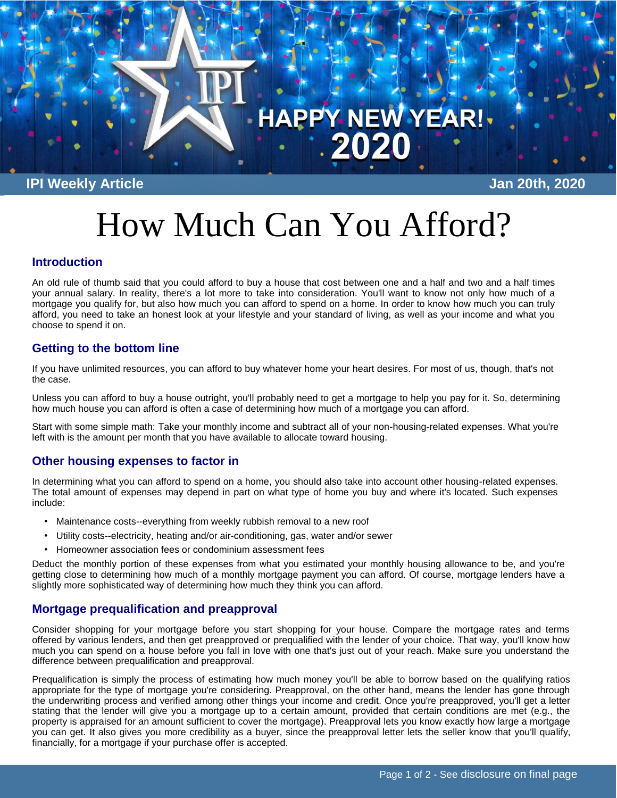

**IPI Weekly Article Jan 20th, 2020**

# How Much Can You Afford?

## **Introduction**

An old rule of thumb said that you could afford to buy a house that cost between one and a half and two and a half times your annual salary. In reality, there's a lot more to take into consideration. You'll want to know not only how much of a mortgage you qualify for, but also how much you can afford to spend on a home. In order to know how much you can truly afford, you need to take an honest look at your lifestyle and your standard of living, as well as your income and what you choose to spend it on.

# **Getting to the bottom line**

If you have unlimited resources, you can afford to buy whatever home your heart desires. For most of us, though, that's not the case.

Unless you can afford to buy a house outright, you'll probably need to get a mortgage to help you pay for it. So, determining how much house you can afford is often a case of determining how much of a mortgage you can afford.

Start with some simple math: Take your monthly income and subtract all of your non-housing-related expenses. What you're left with is the amount per month that you have available to allocate toward housing.

## **Other housing expenses to factor in**

In determining what you can afford to spend on a home, you should also take into account other housing-related expenses. The total amount of expenses may depend in part on what type of home you buy and where it's located. Such expenses include:

- Maintenance costs--everything from weekly rubbish removal to a new roof
- Utility costs--electricity, heating and/or air-conditioning, gas, water and/or sewer
- Homeowner association fees or condominium assessment fees

Deduct the monthly portion of these expenses from what you estimated your monthly housing allowance to be, and you're getting close to determining how much of a monthly mortgage payment you can afford. Of course, mortgage lenders have a slightly more sophisticated way of determining how much they think you can afford.

# **Mortgage prequalification and preapproval**

Consider shopping for your mortgage before you start shopping for your house. Compare the mortgage rates and terms offered by various lenders, and then get preapproved or prequalified with the lender of your choice. That way, you'll know how much you can spend on a house before you fall in love with one that's just out of your reach. Make sure you understand the difference between prequalification and preapproval.

Prequalification is simply the process of estimating how much money you'll be able to borrow based on the qualifying ratios appropriate for the type of mortgage you're considering. Preapproval, on the other hand, means the lender has gone through the underwriting process and verified among other things your income and credit. Once you're preapproved, you'll get a letter stating that the lender will give you a mortgage up to a certain amount, provided that certain conditions are met (e.g., the property is appraised for an amount sufficient to cover the mortgage). Preapproval lets you know exactly how large a mortgage you can get. It also gives you more credibility as a buyer, since the preapproval letter lets the seller know that you'll qualify, financially, for a mortgage if your purchase offer is accepted.